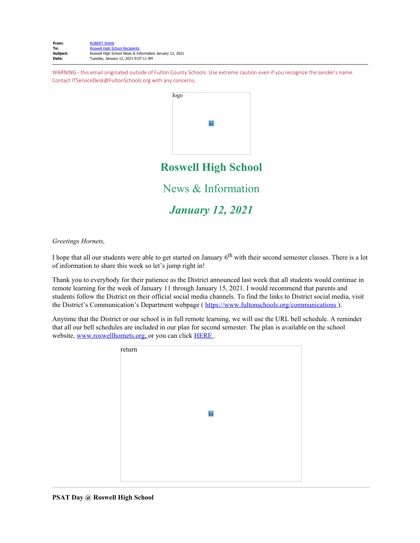| From:    | <b>ROBERT SHAW</b>                                      |
|----------|---------------------------------------------------------|
| To:      | <b>Roswell High School Recipients</b>                   |
| Subject: | Roswell High School News & Information January 12, 2021 |
| Date:    | Tuesday, January 12, 2021 9:07:11 AM                    |

WARNING - this email originated outside of Fulton County Schools. Use extreme caution even if you recognize the sender's name. Contact ITServiceDesk@FultonSchools.org with any concerns.



**Roswell High School**

News & Information

*January 12, 2021*

*Greetings Hornets,* 

I hope that all our students were able to get started on January 6<sup>th</sup> with their second semester classes. There is a lot of information to share this week so let's jump right in!

Thank you to everybody for their patience as the District announced last week that all students would continue in remote learning for the week of January 11 through January 15, 2021. I would recommend that parents and students follow the District on their official social media channels. To find the links to District social media, visit the District's Communication's Department webpage ( <https://www.fultonschools.org/communications> ).

Anytime that the District or our school is in full remote learning, we will use the URL bell schedule. A reminder that all our bell schedules are included in our plan for second semester. The plan is available on the school website, [www.roswellhornets.org,](https://nam11.safelinks.protection.outlook.com/?url=http%3A%2F%2Fwww.roswellhornets.org%2F&data=04%7C01%7Cmurphys%40fultonschools.org%7C0e4f49f32bd94626aa2808d8b7034eee%7C0cdcb19881694b70ba9fda7e3ba700c2%7C1%7C0%7C637460572302672158%7CUnknown%7CTWFpbGZsb3d8eyJWIjoiMC4wLjAwMDAiLCJQIjoiV2luMzIiLCJBTiI6Ik1haWwiLCJXVCI6Mn0%3D%7C1000&sdata=NOVX8bt976vsZ7srS%2F5i0hOubB3CFv%2Fe5nufqniXnV8%3D&reserved=0) or you can click [HERE](https://nam11.safelinks.protection.outlook.com/?url=http%3A%2F%2Fnew.shawadmin.com%2FRoswell%2FPublic%2FF2FPlan1-13-21.pdf&data=04%7C01%7Cmurphys%40fultonschools.org%7C0e4f49f32bd94626aa2808d8b7034eee%7C0cdcb19881694b70ba9fda7e3ba700c2%7C1%7C0%7C637460572302682157%7CUnknown%7CTWFpbGZsb3d8eyJWIjoiMC4wLjAwMDAiLCJQIjoiV2luMzIiLCJBTiI6Ik1haWwiLCJXVCI6Mn0%3D%7C1000&sdata=0JEWOnMAQkLFLsQxd3ZljgZ1js2%2FqVNt5nHFQkfSMAg%3D&reserved=0).

| return |             |  |  |
|--------|-------------|--|--|
|        | $\boxed{?}$ |  |  |
|        |             |  |  |
|        |             |  |  |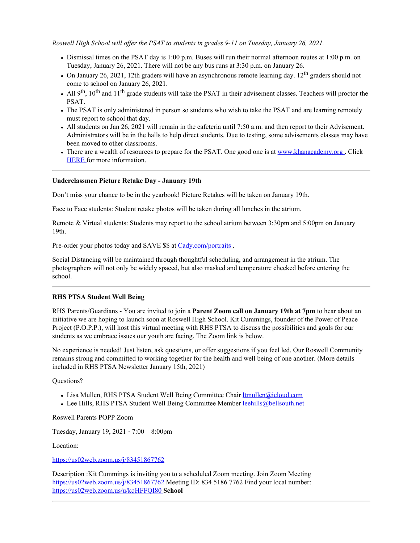*Roswell High School will offer the PSAT to students in grades 9-11 on Tuesday, January 26, 2021.*

- Dismissal times on the PSAT day is 1:00 p.m. Buses will run their normal afternoon routes at 1:00 p.m. on Tuesday, January 26, 2021. There will not be any bus runs at 3:30 p.m. on January 26.
- On January 26, 2021, 12th graders will have an asynchronous remote learning day.  $12<sup>th</sup>$  graders should not come to school on January 26, 2021.
- All  $9<sup>th</sup>$ ,  $10<sup>th</sup>$  and  $11<sup>th</sup>$  grade students will take the PSAT in their advisement classes. Teachers will proctor the PSAT.
- The PSAT is only administered in person so students who wish to take the PSAT and are learning remotely must report to school that day.
- All students on Jan 26, 2021 will remain in the cafeteria until 7:50 a.m. and then report to their Advisement. Administrators will be in the halls to help direct students. Due to testing, some advisements classes may have been moved to other classrooms.
- There are a wealth of resources to prepare for the PSAT. One good one is at [www.khanacademy.org](https://nam11.safelinks.protection.outlook.com/?url=http%3A%2F%2Fwww.khanacademy.org%2F&data=04%7C01%7Cmurphys%40fultonschools.org%7C0e4f49f32bd94626aa2808d8b7034eee%7C0cdcb19881694b70ba9fda7e3ba700c2%7C1%7C0%7C637460572302682157%7CUnknown%7CTWFpbGZsb3d8eyJWIjoiMC4wLjAwMDAiLCJQIjoiV2luMzIiLCJBTiI6Ik1haWwiLCJXVCI6Mn0%3D%7C1000&sdata=tRFIACbrxbgJw2rUUd3yqBuY998b5w1tfL%2B%2B0Y%2BeIWw%3D&reserved=0). Click [HERE](https://nam11.safelinks.protection.outlook.com/?url=https%3A%2F%2Fwww.khanacademy.org%2Ftest-prep%2Fsat%2Fnew-sat-tips-planning%2Fnew-sat-how-to-prep%2Fa%2Ffull-length-psat-nmsqt&data=04%7C01%7Cmurphys%40fultonschools.org%7C0e4f49f32bd94626aa2808d8b7034eee%7C0cdcb19881694b70ba9fda7e3ba700c2%7C1%7C0%7C637460572302692148%7CUnknown%7CTWFpbGZsb3d8eyJWIjoiMC4wLjAwMDAiLCJQIjoiV2luMzIiLCJBTiI6Ik1haWwiLCJXVCI6Mn0%3D%7C1000&sdata=iTsa7l9ekyzO%2BLAX3LOwCjkY4Fb7Zronpg%2FvdL3c0qM%3D&reserved=0) for more information.

#### **Underclassmen Picture Retake Day - January 19th**

Don't miss your chance to be in the yearbook! Picture Retakes will be taken on January 19th.

Face to Face students: Student retake photos will be taken during all lunches in the atrium.

Remote & Virtual students: Students may report to the school atrium between 3:30pm and 5:00pm on January 19th.

Pre-order your photos today and SAVE \$\$ at [Cady.com/portraits](https://nam11.safelinks.protection.outlook.com/?url=https%3A%2F%2Fstore.cady.com%2Funderclass&data=04%7C01%7Cmurphys%40fultonschools.org%7C0e4f49f32bd94626aa2808d8b7034eee%7C0cdcb19881694b70ba9fda7e3ba700c2%7C1%7C0%7C637460572302692148%7CUnknown%7CTWFpbGZsb3d8eyJWIjoiMC4wLjAwMDAiLCJQIjoiV2luMzIiLCJBTiI6Ik1haWwiLCJXVCI6Mn0%3D%7C1000&sdata=%2BPOyEm%2FG9tK7GLEKXx9HWNE%2FKYhwG4cRZkDOFReJpZc%3D&reserved=0).

Social Distancing will be maintained through thoughtful scheduling, and arrangement in the atrium. The photographers will not only be widely spaced, but also masked and temperature checked before entering the school.

#### **RHS PTSA Student Well Being**

RHS Parents/Guardians - You are invited to join a **Parent Zoom call on January 19th at 7pm** to hear about an initiative we are hoping to launch soon at Roswell High School. Kit Cummings, founder of the Power of Peace Project (P.O.P.P.), will host this virtual meeting with RHS PTSA to discuss the possibilities and goals for our students as we embrace issues our youth are facing. The Zoom link is below.

No experience is needed! Just listen, ask questions, or offer suggestions if you feel led. Our Roswell Community remains strong and committed to working together for the health and well being of one another. (More details included in RHS PTSA Newsletter January 15th, 2021)

## Questions?

- Lisa Mullen, RHS PTSA Student Well Being Committee Chair [ltmullen@icloud.com](mailto:ltmullen@icloud.com)
- Lee Hills, RHS PTSA Student Well Being Committee Member [leehills@bellsouth.net](mailto:leehills@bellsouth.net)

Roswell Parents POPP Zoom

Tuesday, January 19, 2021 **⋅** 7:00 – 8:00pm

Location:

[https://us02web.zoom.us/j/83451867762](https://nam11.safelinks.protection.outlook.com/?url=https%3A%2F%2Fus02web.zoom.us%2Fj%2F83451867762&data=04%7C01%7Cmurphys%40fultonschools.org%7C0e4f49f32bd94626aa2808d8b7034eee%7C0cdcb19881694b70ba9fda7e3ba700c2%7C1%7C0%7C637460572302702143%7CUnknown%7CTWFpbGZsb3d8eyJWIjoiMC4wLjAwMDAiLCJQIjoiV2luMzIiLCJBTiI6Ik1haWwiLCJXVCI6Mn0%3D%7C1000&sdata=1Ppqv7NcbR3rpV3wpl0yL16VNpJN0vKr4uxd03SW3T0%3D&reserved=0)

Description :Kit Cummings is inviting you to a scheduled Zoom meeting. Join Zoom Meeting [https://us02web.zoom.us/j/83451867762](https://nam11.safelinks.protection.outlook.com/?url=https%3A%2F%2Fwww.google.com%2Furl%3Fq%3Dhttps%3A%2F%2Fus02web.zoom.us%2Fj%2F83451867762%26sa%3DD%26source%3Dcalendar%26usd%3D2%26usg%3DAOvVaw3Pkf5flYqbf7kZlaWQngEL&data=04%7C01%7Cmurphys%40fultonschools.org%7C0e4f49f32bd94626aa2808d8b7034eee%7C0cdcb19881694b70ba9fda7e3ba700c2%7C1%7C0%7C637460572302702143%7CUnknown%7CTWFpbGZsb3d8eyJWIjoiMC4wLjAwMDAiLCJQIjoiV2luMzIiLCJBTiI6Ik1haWwiLCJXVCI6Mn0%3D%7C1000&sdata=ydfHZl3sm%2BGNqzbnG8rlUYtDGA1poU9KpF2Do1d8%2FX4%3D&reserved=0) Meeting ID: 834 5186 7762 Find your local number: [https://us02web.zoom.us/u/kqHFFQI80](https://nam11.safelinks.protection.outlook.com/?url=https%3A%2F%2Fwww.google.com%2Furl%3Fq%3Dhttps%3A%2F%2Fus02web.zoom.us%2Fu%2FkqHFFQI80%26sa%3DD%26source%3Dcalendar%26usd%3D2%26usg%3DAOvVaw1-c400AbVubtgSqMMPVq4W&data=04%7C01%7Cmurphys%40fultonschools.org%7C0e4f49f32bd94626aa2808d8b7034eee%7C0cdcb19881694b70ba9fda7e3ba700c2%7C1%7C0%7C637460572302712139%7CUnknown%7CTWFpbGZsb3d8eyJWIjoiMC4wLjAwMDAiLCJQIjoiV2luMzIiLCJBTiI6Ik1haWwiLCJXVCI6Mn0%3D%7C1000&sdata=Gq3ldJDFGCjkAUnN9j3OOxTif20fFAE5%2FY3yAsdtApU%3D&reserved=0) **School**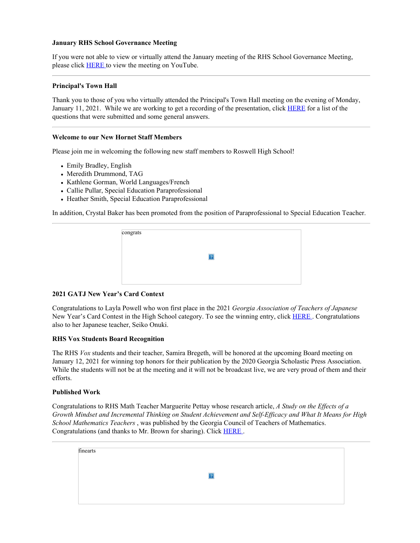#### **January RHS School Governance Meeting**

If you were not able to view or virtually attend the January meeting of the RHS School Governance Meeting, please click [HERE](https://nam11.safelinks.protection.outlook.com/?url=https%3A%2F%2Fyoutu.be%2FSUkmgTIcvIM&data=04%7C01%7Cmurphys%40fultonschools.org%7C0e4f49f32bd94626aa2808d8b7034eee%7C0cdcb19881694b70ba9fda7e3ba700c2%7C1%7C0%7C637460572302722132%7CUnknown%7CTWFpbGZsb3d8eyJWIjoiMC4wLjAwMDAiLCJQIjoiV2luMzIiLCJBTiI6Ik1haWwiLCJXVCI6Mn0%3D%7C1000&sdata=RUulm5yUhtPnYtWlcCLcVuGsrhO%2FcsoLHJSaRRGJ3HQ%3D&reserved=0) to view the meeting on YouTube.

## **Principal's Town Hall**

Thank you to those of you who virtually attended the Principal's Town Hall meeting on the evening of Monday, January 11, 2021. While we are working to get a recording of the presentation, click [HERE](https://nam11.safelinks.protection.outlook.com/?url=http%3A%2F%2Fnew.shawadmin.com%2FRoswell%2FPublic%2FQ%26A1-11-21.pdf&data=04%7C01%7Cmurphys%40fultonschools.org%7C0e4f49f32bd94626aa2808d8b7034eee%7C0cdcb19881694b70ba9fda7e3ba700c2%7C1%7C0%7C637460572302722132%7CUnknown%7CTWFpbGZsb3d8eyJWIjoiMC4wLjAwMDAiLCJQIjoiV2luMzIiLCJBTiI6Ik1haWwiLCJXVCI6Mn0%3D%7C1000&sdata=Uf6AA3beCgk4oJ%2F2L5w2ot4qcyAk2HDd%2F7C%2FAKWsBlE%3D&reserved=0) for a list of the questions that were submitted and some general answers.

#### **Welcome to our New Hornet Staff Members**

Please join me in welcoming the following new staff members to Roswell High School!

- Emily Bradley, English
- Meredith Drummond, TAG
- Kathlene Gorman, World Languages/French
- Callie Pullar, Special Education Paraprofessional
- Heather Smith, Special Education Paraprofessional

In addition, Crystal Baker has been promoted from the position of Paraprofessional to Special Education Teacher.

| congrats |  |  |
|----------|--|--|
|          |  |  |
|          |  |  |
|          |  |  |
|          |  |  |

# **2021 GATJ New Year's Card Context**

Congratulations to Layla Powell who won first place in the 2021 *Georgia Association of Teachers of Japanese* New Year's Card Contest in the High School category. To see the winning entry, click [HERE](https://nam11.safelinks.protection.outlook.com/?url=https%3A%2F%2Fgatj.weebly.com%2Fawards--recognition%2Fnengajo-contest-2021&data=04%7C01%7Cmurphys%40fultonschools.org%7C0e4f49f32bd94626aa2808d8b7034eee%7C0cdcb19881694b70ba9fda7e3ba700c2%7C1%7C0%7C637460572302732145%7CUnknown%7CTWFpbGZsb3d8eyJWIjoiMC4wLjAwMDAiLCJQIjoiV2luMzIiLCJBTiI6Ik1haWwiLCJXVCI6Mn0%3D%7C1000&sdata=c%2FPo0RDovTW4kVLaM8rR2m8Yyh5gRqphdcG5WE3bM40%3D&reserved=0). Congratulations also to her Japanese teacher, Seiko Onuki.

## **RHS Vox Students Board Recognition**

The RHS *Vox* students and their teacher, Samira Bregeth, will be honored at the upcoming Board meeting on January 12, 2021 for winning top honors for their publication by the 2020 Georgia Scholastic Press Association. While the students will not be at the meeting and it will not be broadcast live, we are very proud of them and their efforts.

#### **Published Work**

Congratulations to RHS Math Teacher Marguerite Pettay whose research article, *A Study on the Effects of a Growth Mindset and Incremental Thinking on Student Achievement and Self-Efficacy and What It Means for High School Mathematics Teachers* , was published by the Georgia Council of Teachers of Mathematics. Congratulations (and thanks to Mr. Brown for sharing). Click [HERE](https://nam11.safelinks.protection.outlook.com/?url=https%3A%2F%2Fwww.gctm.org%2Fpage-1709471&data=04%7C01%7Cmurphys%40fultonschools.org%7C0e4f49f32bd94626aa2808d8b7034eee%7C0cdcb19881694b70ba9fda7e3ba700c2%7C1%7C0%7C637460572302732145%7CUnknown%7CTWFpbGZsb3d8eyJWIjoiMC4wLjAwMDAiLCJQIjoiV2luMzIiLCJBTiI6Ik1haWwiLCJXVCI6Mn0%3D%7C1000&sdata=fFXQtaqTMdSMbiUXOEGKb1jC9Hpv35C7FXnqtbHFKXg%3D&reserved=0) .

| finearts |  |  |  |
|----------|--|--|--|
|          |  |  |  |
|          |  |  |  |
|          |  |  |  |
|          |  |  |  |
|          |  |  |  |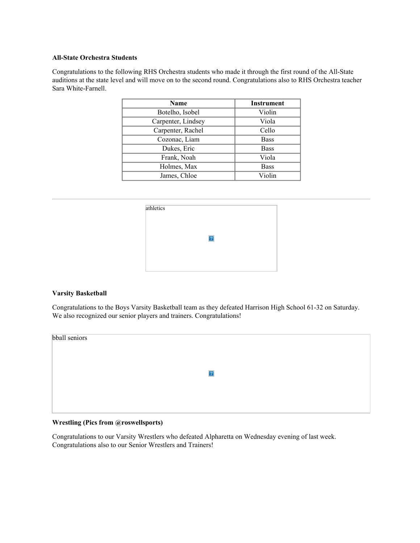#### **All-State Orchestra Students**

Congratulations to the following RHS Orchestra students who made it through the first round of the All-State auditions at the state level and will move on to the second round. Congratulations also to RHS Orchestra teacher Sara White-Farnell.

| <b>Name</b>        | <b>Instrument</b> |
|--------------------|-------------------|
| Botelho, Isobel    | Violin            |
| Carpenter, Lindsey | Viola             |
| Carpenter, Rachel  | Cello             |
| Cozonac, Liam      | <b>Bass</b>       |
| Dukes, Eric        | <b>Bass</b>       |
| Frank, Noah        | Viola             |
| Holmes, Max        | <b>Bass</b>       |
| James, Chloe       | Violin            |

| athletics |   |  |
|-----------|---|--|
|           |   |  |
|           | ? |  |
|           |   |  |

# **Varsity Basketball**

Congratulations to the Boys Varsity Basketball team as they defeated Harrison High School 61-32 on Saturday. We also recognized our senior players and trainers. Congratulations!

| bball seniors |           |  |
|---------------|-----------|--|
|               |           |  |
|               | $\vert$ ? |  |
|               |           |  |
|               |           |  |

# **Wrestling (Pics from @roswellsports)**

Congratulations to our Varsity Wrestlers who defeated Alpharetta on Wednesday evening of last week. Congratulations also to our Senior Wrestlers and Trainers!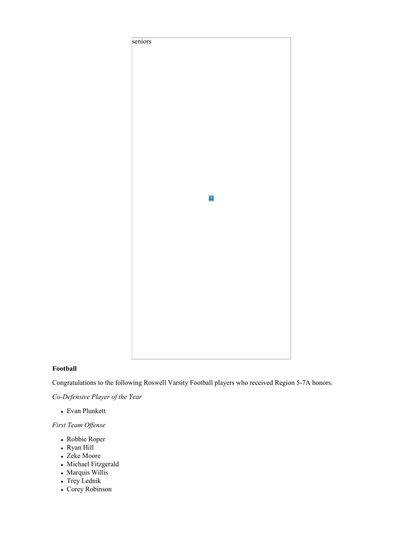

# **Football**

Congratulations to the following Roswell Varsity Football players who received Region 5-7A honors.

*Co-Defensive Player of the Year*

Evan Plunkett

*First Team Offense*

- Robbie Roper
- Ryan Hill
- Zeke Moore
- Michael Fitzgerald
- Marquis Willis
- Trey Lednik
- Corey Robinson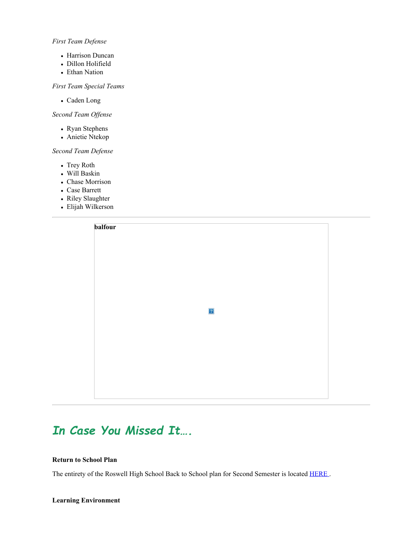## *First Team Defense*

- Harrison Duncan
- Dillon Holifield
- Ethan Nation

# *First Team Special Teams*

Caden Long

# *Second Team Offense*

- Ryan Stephens
- Anietie Ntekop

# *Second Team Defense*

- Trey Roth
- Will Baskin
- Chase Morrison
- Case Barrett
- Riley Slaughter
- Elijah Wilkerson



# *In Case You Missed It….*

#### **Return to School Plan**

The entirety of the Roswell High School Back to School plan for Second Semester is located [HERE](https://nam11.safelinks.protection.outlook.com/?url=http%3A%2F%2Fnew.shawadmin.com%2FRoswell%2FPublic%2FF2FPlan1-13-21.pdf&data=04%7C01%7Cmurphys%40fultonschools.org%7C0e4f49f32bd94626aa2808d8b7034eee%7C0cdcb19881694b70ba9fda7e3ba700c2%7C1%7C0%7C637460572302732145%7CUnknown%7CTWFpbGZsb3d8eyJWIjoiMC4wLjAwMDAiLCJQIjoiV2luMzIiLCJBTiI6Ik1haWwiLCJXVCI6Mn0%3D%7C1000&sdata=imu87ACVy%2BNFCTZN3HF441F5ChL9B0aZaVRlGRfqFSA%3D&reserved=0).

## **Learning Environment**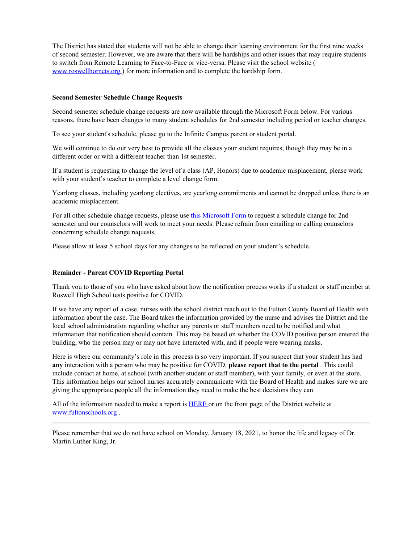The District has stated that students will not be able to change their learning environment for the first nine weeks of second semester. However, we are aware that there will be hardships and other issues that may require students to switch from Remote Learning to Face-to-Face or vice-versa. Please visit the school website ( [www.roswellhornets.org](https://nam11.safelinks.protection.outlook.com/?url=http%3A%2F%2Fwww.roswellhornets.org%2F&data=04%7C01%7Cmurphys%40fultonschools.org%7C0e4f49f32bd94626aa2808d8b7034eee%7C0cdcb19881694b70ba9fda7e3ba700c2%7C1%7C0%7C637460572302742123%7CUnknown%7CTWFpbGZsb3d8eyJWIjoiMC4wLjAwMDAiLCJQIjoiV2luMzIiLCJBTiI6Ik1haWwiLCJXVCI6Mn0%3D%7C1000&sdata=gwYSpCdTmhrxKuokPqHmeV2JNoc7BR6hT29%2BQt9PBCU%3D&reserved=0) ) for more information and to complete the hardship form.

#### **Second Semester Schedule Change Requests**

Second semester schedule change requests are now available through the Microsoft Form below. For various reasons, there have been changes to many student schedules for 2nd semester including period or teacher changes.

To see your student's schedule, please go to the Infinite Campus parent or student portal.

We will continue to do our very best to provide all the classes your student requires, though they may be in a different order or with a different teacher than 1st semester.

If a student is requesting to change the level of a class (AP, Honors) due to academic misplacement, please work with your student's teacher to complete a level change form.

Yearlong classes, including yearlong electives, are yearlong commitments and cannot be dropped unless there is an academic misplacement.

For all other schedule change requests, please use this [Microsoft](https://forms.office.com/Pages/ResponsePage.aspx?id=mLHcDGmBcEu6n9p-O6cAwuGxth5R32JEjv1NWDCc-69UMlhCRkVMUDBNUVBaQlI2NjlWREdHMTA1Mi4u) Form to request a schedule change for 2nd semester and our counselors will work to meet your needs. Please refrain from emailing or calling counselors concerning schedule change requests.

Please allow at least 5 school days for any changes to be reflected on your student's schedule.

## **Reminder - Parent COVID Reporting Portal**

Thank you to those of you who have asked about how the notification process works if a student or staff member at Roswell High School tests positive for COVID.

If we have any report of a case, nurses with the school district reach out to the Fulton County Board of Health with information about the case. The Board takes the information provided by the nurse and advises the District and the local school administration regarding whether any parents or staff members need to be notified and what information that notification should contain. This may be based on whether the COVID positive person entered the building, who the person may or may not have interacted with, and if people were wearing masks.

Here is where our community's role in this process is so very important. If you suspect that your student has had **any** interaction with a person who may be positive for COVID, **please report that to the portal** . This could include contact at home, at school (with another student or staff member), with your family, or even at the store. This information helps our school nurses accurately communicate with the Board of Health and makes sure we are giving the appropriate people all the information they need to make the best decisions they can.

All of the information needed to make a report is [HERE](https://nam11.safelinks.protection.outlook.com/?url=https%3A%2F%2Ffultonschools.az1.qualtrics.com%2Fjfe%2Fform%2FSV_6hWlX46FNk8pNlz&data=04%7C01%7Cmurphys%40fultonschools.org%7C0e4f49f32bd94626aa2808d8b7034eee%7C0cdcb19881694b70ba9fda7e3ba700c2%7C1%7C0%7C637460572302742123%7CUnknown%7CTWFpbGZsb3d8eyJWIjoiMC4wLjAwMDAiLCJQIjoiV2luMzIiLCJBTiI6Ik1haWwiLCJXVCI6Mn0%3D%7C1000&sdata=5iESZVkpszYYO5fT6bHYvXZYw50FTkzAopeQ5bgRZlc%3D&reserved=0) or on the front page of the District website at [www.fultonschools.org](http://www.fultonschools.org/) .

Please remember that we do not have school on Monday, January 18, 2021, to honor the life and legacy of Dr. Martin Luther King, Jr.